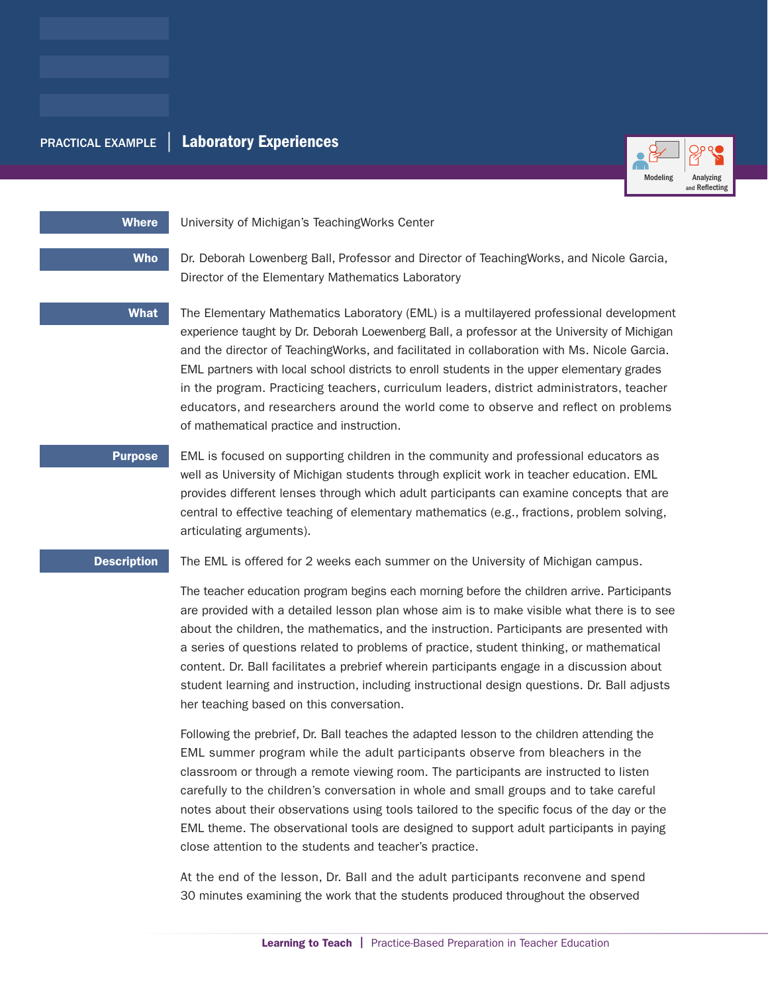# PRACTICAL EXAMPLE | Laboratory Experiences



## Where University of Michigan's Teaching Works Center

Who Dr. Deborah Lowenberg Ball, Professor and Director of TeachingWorks, and Nicole Garcia, Director of the Elementary Mathematics Laboratory

What The Elementary Mathematics Laboratory (EML) is a multilayered professional development experience taught by Dr. Deborah Loewenberg Ball, a professor at the University of Michigan and the director of TeachingWorks, and facilitated in collaboration with Ms. Nicole Garcia. EML partners with local school districts to enroll students in the upper elementary grades in the program. Practicing teachers, curriculum leaders, district administrators, teacher educators, and researchers around the world come to observe and reflect on problems of mathematical practice and instruction.

**Purpose** EML is focused on supporting children in the community and professional educators as well as University of Michigan students through explicit work in teacher education. EML provides different lenses through which adult participants can examine concepts that are central to effective teaching of elementary mathematics (e.g., fractions, problem solving, articulating arguments).

**Description** The EML is offered for 2 weeks each summer on the University of Michigan campus.

The teacher education program begins each morning before the children arrive. Participants are provided with a detailed lesson plan whose aim is to make visible what there is to see about the children, the mathematics, and the instruction. Participants are presented with a series of questions related to problems of practice, student thinking, or mathematical content. Dr. Ball facilitates a prebrief wherein participants engage in a discussion about student learning and instruction, including instructional design questions. Dr. Ball adjusts her teaching based on this conversation.

Following the prebrief, Dr. Ball teaches the adapted lesson to the children attending the EML summer program while the adult participants observe from bleachers in the classroom or through a remote viewing room. The participants are instructed to listen carefully to the children's conversation in whole and small groups and to take careful notes about their observations using tools tailored to the specific focus of the day or the EML theme. The observational tools are designed to support adult participants in paying close attention to the students and teacher's practice.

At the end of the lesson, Dr. Ball and the adult participants reconvene and spend 30 minutes examining the work that the students produced throughout the observed